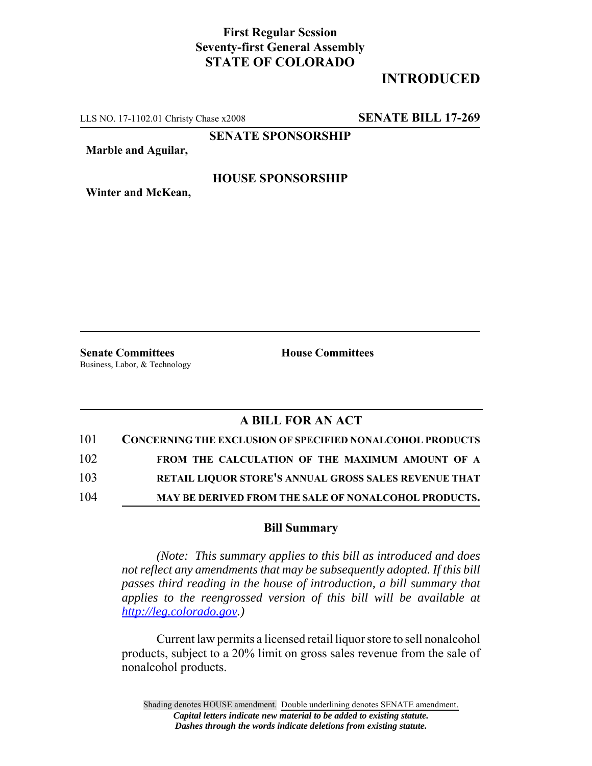## **First Regular Session Seventy-first General Assembly STATE OF COLORADO**

# **INTRODUCED**

LLS NO. 17-1102.01 Christy Chase x2008 **SENATE BILL 17-269**

**SENATE SPONSORSHIP**

**Marble and Aguilar,**

#### **HOUSE SPONSORSHIP**

**Winter and McKean,**

**Senate Committees House Committees** Business, Labor, & Technology

### **A BILL FOR AN ACT**

| 101 | <b>CONCERNING THE EXCLUSION OF SPECIFIED NONALCOHOL PRODUCTS</b> |
|-----|------------------------------------------------------------------|
| 102 | FROM THE CALCULATION OF THE MAXIMUM AMOUNT OF A                  |
| 103 | RETAIL LIQUOR STORE'S ANNUAL GROSS SALES REVENUE THAT            |
| 104 | MAY BE DERIVED FROM THE SALE OF NONALCOHOL PRODUCTS.             |

#### **Bill Summary**

*(Note: This summary applies to this bill as introduced and does not reflect any amendments that may be subsequently adopted. If this bill passes third reading in the house of introduction, a bill summary that applies to the reengrossed version of this bill will be available at http://leg.colorado.gov.)*

Current law permits a licensed retail liquor store to sell nonalcohol products, subject to a 20% limit on gross sales revenue from the sale of nonalcohol products.

Shading denotes HOUSE amendment. Double underlining denotes SENATE amendment. *Capital letters indicate new material to be added to existing statute. Dashes through the words indicate deletions from existing statute.*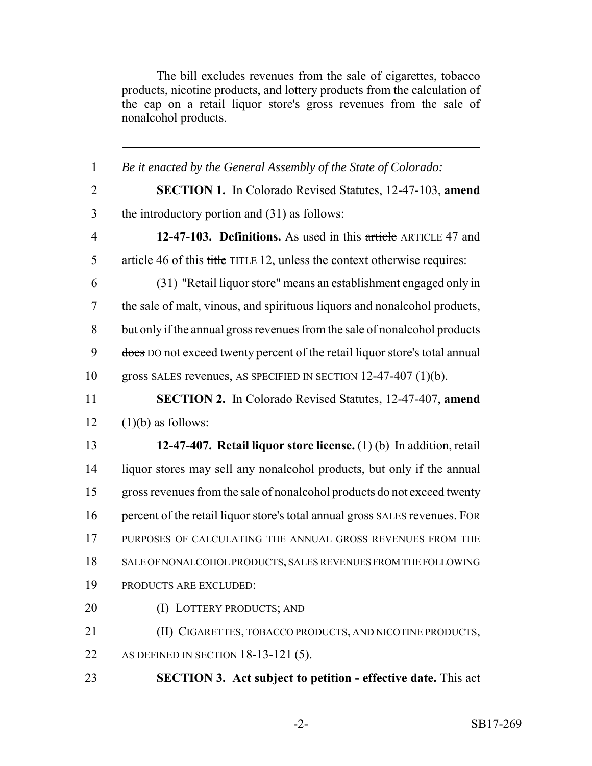The bill excludes revenues from the sale of cigarettes, tobacco products, nicotine products, and lottery products from the calculation of the cap on a retail liquor store's gross revenues from the sale of nonalcohol products.

| $\mathbf{1}$   | Be it enacted by the General Assembly of the State of Colorado:             |
|----------------|-----------------------------------------------------------------------------|
| $\overline{2}$ | <b>SECTION 1.</b> In Colorado Revised Statutes, 12-47-103, amend            |
| 3              | the introductory portion and $(31)$ as follows:                             |
| $\overline{4}$ | 12-47-103. Definitions. As used in this article ARTICLE 47 and              |
| 5              | article 46 of this title TITLE 12, unless the context otherwise requires:   |
| 6              | (31) "Retail liquor store" means an establishment engaged only in           |
| 7              | the sale of malt, vinous, and spirituous liquors and nonalcohol products,   |
| 8              | but only if the annual gross revenues from the sale of nonalcohol products  |
| 9              | does DO not exceed twenty percent of the retail liquor store's total annual |
| 10             | gross SALES revenues, AS SPECIFIED IN SECTION $12-47-407$ (1)(b).           |
| 11             | <b>SECTION 2.</b> In Colorado Revised Statutes, 12-47-407, amend            |
| 12             | $(1)(b)$ as follows:                                                        |
| 13             | 12-47-407. Retail liquor store license. $(1)(b)$ In addition, retail        |
| 14             | liquor stores may sell any nonalcohol products, but only if the annual      |
| 15             | gross revenues from the sale of nonalcohol products do not exceed twenty    |
| 16             | percent of the retail liquor store's total annual gross SALES revenues. FOR |
| 17             | PURPOSES OF CALCULATING THE ANNUAL GROSS REVENUES FROM THE                  |
| 18             | SALE OF NONALCOHOL PRODUCTS, SALES REVENUES FROM THE FOLLOWING              |
| 19             | PRODUCTS ARE EXCLUDED:                                                      |
| 20             | (I) LOTTERY PRODUCTS; AND                                                   |
| 21             | (II) CIGARETTES, TOBACCO PRODUCTS, AND NICOTINE PRODUCTS,                   |
| 22             | AS DEFINED IN SECTION $18-13-121(5)$ .                                      |
| 23             | <b>SECTION 3. Act subject to petition - effective date.</b> This act        |